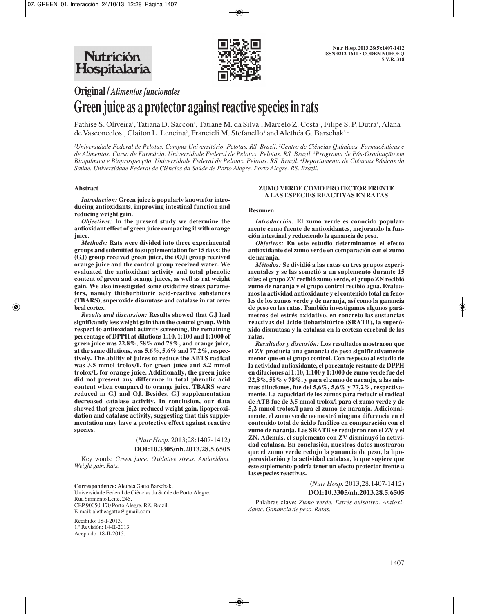

**Original /** *Alimentos funcionales*

# **Green juice as a protector against reactive species in rats**

Pathise S. Oliveira<sup>1</sup>, Tatiana D. Saccon<sup>1</sup>, Tatiane M. da Silva<sup>1</sup>, Marcelo Z. Costa<sup>3</sup>, Filipe S. P. Dutra<sup>1</sup>, Alana de Vasconcelos<sup>1</sup>, Claiton L. Lencina<sup>2</sup>, Francieli M. Stefanello<sup>3</sup> and Alethéa G. Barschak<sup>3,4</sup>

*1 Universidade Federal de Pelotas. Campus Universitário. Pelotas. RS. Brazil. 2 Centro de Ciências Químicas, Farmacêuticas e de Alimentos. Curso de Farmácia. Universidade Federal de Pelotas. Pelotas. RS. Brazil. 3 Programa de Pós-Graduação em Bioquímica e Bioprospecção. Universidade Federal de Pelotas. Pelotas. RS. Brazil. 4 Departamento de Ciéncias Básicas da Saúde. Universidade Federal de Ciências da Saúde de Porto Alegre. Porto Alegre. RS. Brazil.*

#### **Abstract**

*Introduction:* **Green juice is popularly known for introducing antioxidants, improving intestinal function and reducing weight gain.** 

*Objectives:* **In the present study we determine the antioxidant effect of green juice comparing it with orange juice.** 

*Methods:* **Rats were divided into three experimental groups and submitted to supplementation for 15 days: the (GJ) group received green juice, the (OJ) group received orange juice and the control group received water. We evaluated the antioxidant activity and total phenolic content of green and orange juices, as well as rat weight gain. We also investigated some oxidative stress parameters, namely thiobarbituric acid-reactive substances (TBARS), superoxide dismutase and catalase in rat cerebral cortex.** 

*Results and discussion:* **Results showed that GJ had significantly less weight gain than the control group. With respect to antioxidant activity screening, the remaining percentage of DPPH at dilutions 1:10, 1:100 and 1:1000 of green juice was 22.8%, 58% and 78%, and orange juice, at the same dilutions, was 5.6%, 5.6% and 77.2%, respectively. The ability of juices to reduce the ABTS radical was 3.5 mmol trolox/L for green juice and 5.2 mmol trolox/L for orange juice. Additionally, the green juice did not present any difference in total phenolic acid content when compared to orange juice. TBARS were reduced in GJ and OJ. Besides, GJ supplementation decreased catalase activity. In conclusion, our data showed that green juice reduced weight gain, lipoperoxidation and catalase activity, suggesting that this supplementation may have a protective effect against reactive species.**

> (*Nutr Hosp.* 2013;28:1407-1412) **DOI:10.3305/nh.2013.28.5.6505**

Key words: *Green juice. Oxidative stress. Antioxidant. Weight gain. Rats.*

**Correspondence:** Alethéa Gatto Barschak. Universidade Federal de Ciências da Saúde de Porto Alegre. Rua Sarmento Leite, 245. CEP 90050-170 Porto Alegre. RZ. Brazil. E-mail: aletheagatto@gmail.com

Recibido: 18-I-2013. 1.ª Revisión: 14-II-2013. Aceptado: 18-II-2013.

#### **ZUMO VERDE COMO PROTECTOR FRENTE A LAS ESPECIES REACTIVAS EN RATAS**

#### **Resumen**

*Introducción:* **El zumo verde es conocido popularmente como fuente de antioxidantes, mejorando la función intestinal y reduciendo la ganancia de peso.** 

*Objetivos:* **En este estudio determinamos el efecto antioxidante del zumo verde en comparación con el zumo de naranja.** 

*Métodos:* **Se dividió a las ratas en tres grupos experimentales y se las sometió a un suplemento durante 15 días: el grupo ZV recibió zumo verde, el grupo ZN recibió zumo de naranja y el grupo control recibió agua. Evaluamos la actividad antioxidante y el contenido total en fenoles de los zumos verde y de naranja, así como la ganancia de peso en las ratas. También investigamos algunos parámetros del estrés oxidativo, en concreto las sustancias reactivas del ácido tiobarbitúrico (SRATB), la superóxido dismutasa y la catalasa en la corteza cerebral de las ratas.** 

*Resultados y discusión:* **Los resultados mostraron que el ZV producía una ganancia de peso significativamente menor que en el grupo control. Con respecto al estudio de la actividad antioxidante, el porcentaje restante de DPPH en diluciones al 1:10, 1:100 y 1:1000 de zumo verde fue del 22,8%, 58% y 78%, y para el zumo de naranja, a las mismas diluciones, fue del 5,6%, 5,6% y 77,2%, respectivamente. La capacidad de los zumos para reducir el radical de ATB fue de 3,5 mmol trolox/l para el zumo verde y de 5,2 mmol trolox/l para el zumo de naranja. Adicionalmente, el zumo verde no mostró ninguna diferencia en el contenido total de ácido fenólico en comparación con el zumo de naranja. Las SRATB se redujeron con el ZV y el ZN. Además, el suplemento con ZV disminuyó la actividad catalasa. En conclusión, nuestros datos mostraron que el zumo verde redujo la ganancia de peso, la lipoperoxidación y la actividad catalasa, lo que sugiere que este suplemento podría tener un efecto protector frente a las especies reactivas.**

> (*Nutr Hosp.* 2013;28:1407-1412) **DOI:10.3305/nh.2013.28.5.6505**

Palabras clave: *Zumo verde. Estrés oxisativo. Antioxidante. Ganancia de peso. Ratas.*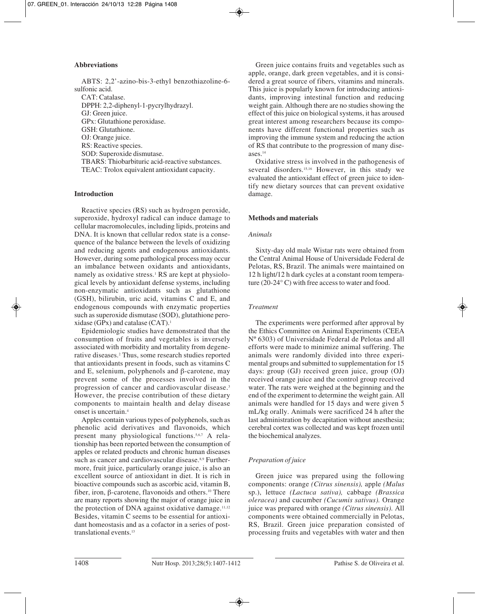#### **Abbreviations**

ABTS: 2,2'-azino-bis-3-ethyl benzothiazoline-6 sulfonic acid. CAT: Catalase. DPPH: 2,2-diphenyl-1-pycrylhydrazyl. GJ: Green juice. GPx: Glutathione peroxidase. GSH: Glutathione. OJ: Orange juice. RS: Reactive species. SOD: Superoxide dismutase. TBARS: Thiobarbituric acid-reactive substances. TEAC: Trolox equivalent antioxidant capacity.

## **Introduction**

Reactive species (RS) such as hydrogen peroxide, superoxide, hydroxyl radical can induce damage to cellular macromolecules, including lipids, proteins and DNA. It is known that cellular redox state is a consequence of the balance between the levels of oxidizing and reducing agents and endogenous antioxidants. However, during some pathological process may occur an imbalance between oxidants and antioxidants, namely as oxidative stress.<sup>1</sup> RS are kept at physiological levels by antioxidant defense systems, including non-enzymatic antioxidants such as glutathione (GSH), bilirubin, uric acid, vitamins C and E, and endogenous compounds with enzymatic properties such as superoxide dismutase (SOD), glutathione peroxidase (GPx) and catalase  $(CAT)$ .<sup>1</sup>

Epidemiologic studies have demonstrated that the consumption of fruits and vegetables is inversely associated with morbidity and mortality from degenerative diseases.2 Thus, some research studies reported that antioxidants present in foods, such as vitamins C and E, selenium, polyphenols and β-carotene, may prevent some of the processes involved in the progression of cancer and cardiovascular disease.<sup>3</sup> However, the precise contribution of these dietary components to maintain health and delay disease onset is uncertain.4

Apples contain various types of polyphenols, such as phenolic acid derivatives and flavonoids, which present many physiological functions.5,6,7 A relationship has been reported between the consumption of apples or related products and chronic human diseases such as cancer and cardiovascular disease.<sup>8,9</sup> Furthermore, fruit juice, particularly orange juice, is also an excellent source of antioxidant in diet. It is rich in bioactive compounds such as ascorbic acid, vitamin B, fiber, iron, β-carotene, flavonoids and others.<sup>10</sup> There are many reports showing the major of orange juice in the protection of DNA against oxidative damage.<sup>11,12</sup> Besides, vitamin C seems to be essential for antioxidant homeostasis and as a cofactor in a series of posttranslational events.13

Green juice contains fruits and vegetables such as apple, orange, dark green vegetables, and it is considered a great source of fibers, vitamins and minerals. This juice is popularly known for introducing antioxidants, improving intestinal function and reducing weight gain. Although there are no studies showing the effect of this juice on biological systems, it has aroused great interest among researchers because its components have different functional properties such as improving the immune system and reducing the action of RS that contribute to the progression of many diseases.14

Oxidative stress is involved in the pathogenesis of several disorders.<sup>15,16</sup> However, in this study we evaluated the antioxidant effect of green juice to identify new dietary sources that can prevent oxidative damage.

# **Methods and materials**

## *Animals*

Sixty-day old male Wistar rats were obtained from the Central Animal House of Universidade Federal de Pelotas, RS, Brazil. The animals were maintained on 12 h light/12 h dark cycles at a constant room temperature (20-24° C) with free access to water and food.

## *Treatment*

The experiments were performed after approval by the Ethics Committee on Animal Experiments (CEEA Nº 6303) of Universidade Federal de Pelotas and all efforts were made to minimize animal suffering. The animals were randomly divided into three experimental groups and submitted to supplementation for 15 days: group (GJ) received green juice, group (OJ) received orange juice and the control group received water. The rats were weighed at the beginning and the end of the experiment to determine the weight gain. All animals were handled for 15 days and were given 5 mL/kg orally. Animals were sacrificed 24 h after the last administration by decapitation without anesthesia; cerebral cortex was collected and was kept frozen until the biochemical analyzes.

# *Preparation of juice*

Green juice was prepared using the following components: orange *(Citrus sinensis),* apple *(Malus* sp.), lettuce *(Lactuca sativa),* cabbage *(Brassica oleracea)* and cucumber *(Cucumis sativus).* Orange juice was prepared with orange *(Citrus sinensis).* All components were obtained commercially in Pelotas, RS, Brazil. Green juice preparation consisted of processing fruits and vegetables with water and then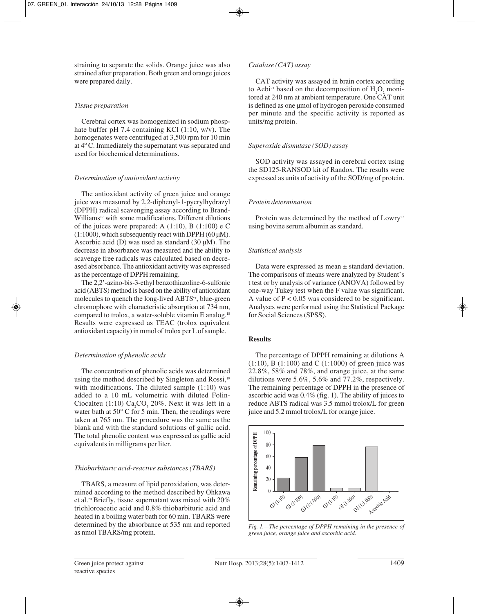straining to separate the solids. Orange juice was also strained after preparation. Both green and orange juices were prepared daily.

#### *Tissue preparation*

Cerebral cortex was homogenized in sodium phosphate buffer pH 7.4 containing KCl (1:10, w/v). The homogenates were centrifuged at 3,500 rpm for 10 min at 4º C. Immediately the supernatant was separated and used for biochemical determinations.

## *Determination of antioxidant activity*

The antioxidant activity of green juice and orange juice was measured by 2,2-diphenyl-1-pycrylhydrazyl (DPPH) radical scavenging assay according to Brand-Williams<sup>17</sup> with some modifications. Different dilutions of the juices were prepared: A  $(1:10)$ , B  $(1:100)$  e C  $(1:1000)$ , which subsequently react with DPPH  $(60 \,\mu\text{M})$ . Ascorbic acid (D) was used as standard (30 µM). The decrease in absorbance was measured and the ability to scavenge free radicals was calculated based on decreased absorbance. The antioxidant activity was expressed as the percentage of DPPH remaining.

The 2,2'-azino-bis-3-ethyl benzothiazoline-6-sulfonic acid (ABTS) method is based on the ability of antioxidant molecules to quench the long-lived ABTS•+, blue-green chromophore with characteristic absorption at 734 nm, compared to trolox, a water-soluble vitamin E analog.18 Results were expressed as TEAC (trolox equivalent antioxidant capacity) in mmol of trolox per L of sample.

## *Determination of phenolic acids*

The concentration of phenolic acids was determined using the method described by Singleton and Rossi,<sup>19</sup> with modifications. The diluted sample (1:10) was added to a 10 mL volumetric with diluted Folin-Ciocalteu (1:10)  $Ca<sub>2</sub>CO<sub>3</sub>$  20%. Next it was left in a water bath at 50 $\degree$  C for 5 min. Then, the readings were taken at 765 nm. The procedure was the same as the blank and with the standard solutions of gallic acid. The total phenolic content was expressed as gallic acid equivalents in milligrams per liter.

## *Thiobarbituric acid-reactive substances (TBARS)*

TBARS, a measure of lipid peroxidation, was determined according to the method described by Ohkawa et al.20 Briefly, tissue supernatant was mixed with 20% trichloroacetic acid and 0.8% thiobarbituric acid and heated in a boiling water bath for 60 min. TBARS were determined by the absorbance at 535 nm and reported as nmol TBARS/mg protein.

## *Catalase (CAT) assay*

CAT activity was assayed in brain cortex according to Aebi<sup>21</sup> based on the decomposition of  $H_2O_2$  monitored at 240 nm at ambient temperature. One CAT unit is defined as one µmol of hydrogen peroxide consumed per minute and the specific activity is reported as units/mg protein.

## *Superoxide dismutase (SOD) assay*

SOD activity was assayed in cerebral cortex using the SD125-RANSOD kit of Randox. The results were expressed as units of activity of the SOD/mg of protein.

# *Protein determination*

Protein was determined by the method of Lowry<sup>22</sup> using bovine serum albumin as standard.

# *Statistical analysis*

Data were expressed as mean ± standard deviation. The comparisons of means were analyzed by Student's t test or by analysis of variance (ANOVA) followed by one-way Tukey test when the F value was significant. A value of  $P < 0.05$  was considered to be significant. Analyses were performed using the Statistical Package for Social Sciences (SPSS).

## **Results**

The percentage of DPPH remaining at dilutions A  $(1:10)$ , B  $(1:100)$  and C  $(1:1000)$  of green juice was 22.8%, 58% and 78%, and orange juice, at the same dilutions were 5.6%, 5.6% and  $\overline{77.2\%}$ , respectively. The remaining percentage of DPPH in the presence of ascorbic acid was 0.4% (fig. 1). The ability of juices to reduce ABTS radical was 3.5 mmol trolox/L for green juice and 5.2 mmol trolox/L for orange juice.



*Fig. 1.—The percentage of DPPH remaining in the presence of green juice, orange juice and ascorbic acid.*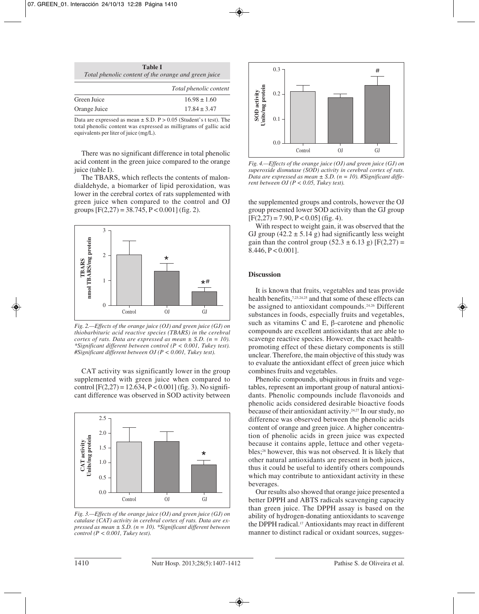| <b>Table I</b>                                       |  |
|------------------------------------------------------|--|
| Total phenolic content of the orange and green juice |  |

|              | Total phenolic content |
|--------------|------------------------|
| Green Juice  | $16.98 \pm 1.60$       |
| Orange Juice | $17.84 \pm 3.47$       |

Data are expressed as mean  $\pm$  S.D. P > 0.05 (Student's t test). The total phenolic content was expressed as milligrams of gallic acid equivalents per liter of juice (mg/L).

There was no significant difference in total phenolic acid content in the green juice compared to the orange juice (table I).

The TBARS, which reflects the contents of malondialdehyde, a biomarker of lipid peroxidation, was lower in the cerebral cortex of rats supplemented with green juice when compared to the control and OJ groups  $[F(2,27) = 38.745, P < 0.001]$  (fig. 2).



*Fig. 2.—Effects of the orange juice (OJ) and green juice (GJ) on thiobarbituric acid reactive species (TBARS) in the cerebral cortex of rats. Data are expressed as mean ± S.D. (n = 10). \*Significant different between control (P < 0.001, Tukey test). #Significant different between OJ (P < 0.001, Tukey test).*

CAT activity was significantly lower in the group supplemented with green juice when compared to control  $[F(2,27) = 12.634, P < 0.001]$  (fig. 3). No significant difference was observed in SOD activity between



*Fig. 3.—Effects of the orange juice (OJ) and green juice (GJ) on catalase (CAT) activity in cerebral cortex of rats. Data are expressed as mean ± S.D. (n = 10). \*Significant different between control (P < 0.001, Tukey test).*



*Fig. 4.—Effects of the orange juice (OJ) and green juice (GJ) on superoxide dismutase (SOD) activity in cerebral cortex of rats. Data are expressed as mean ± S.D. (n = 10). #Significant different between OJ (P < 0.05, Tukey test).*

the supplemented groups and controls, however the OJ group presented lower SOD activity than the GJ group  $[F(2,27) = 7.90, P < 0.05]$  (fig. 4).

With respect to weight gain, it was observed that the GJ group  $(42.2 \pm 5.14 \text{ g})$  had significantly less weight gain than the control group  $(52.3 \pm 6.13 \text{ g})$  [F(2,27) =  $8.446, P < 0.001$ ].

#### **Discussion**

It is known that fruits, vegetables and teas provide health benefits,<sup>7,23,24,25</sup> and that some of these effects can be assigned to antioxidant compounds.<sup>24,26</sup> Different substances in foods, especially fruits and vegetables, such as vitamins C and E,  $\beta$ -carotene and phenolic compounds are excellent antioxidants that are able to scavenge reactive species. However, the exact healthpromoting effect of these dietary components is still unclear. Therefore, the main objective of this study was to evaluate the antioxidant effect of green juice which combines fruits and vegetables.

Phenolic compounds, ubiquitous in fruits and vegetables, represent an important group of natural antioxidants. Phenolic compounds include flavonoids and phenolic acids considered desirable bioactive foods because of their antioxidant activity.24,27 In our study, no difference was observed between the phenolic acids content of orange and green juice. A higher concentration of phenolic acids in green juice was expected because it contains apple, lettuce and other vegetables;28 however, this was not observed. It is likely that other natural antioxidants are present in both juices, thus it could be useful to identify others compounds which may contribute to antioxidant activity in these beverages.

Our results also showed that orange juice presented a better DPPH and ABTS radicals scavenging capacity than green juice. The DPPH assay is based on the ability of hydrogen-donating antioxidants to scavenge the DPPH radical.17 Antioxidants may react in different manner to distinct radical or oxidant sources, sugges-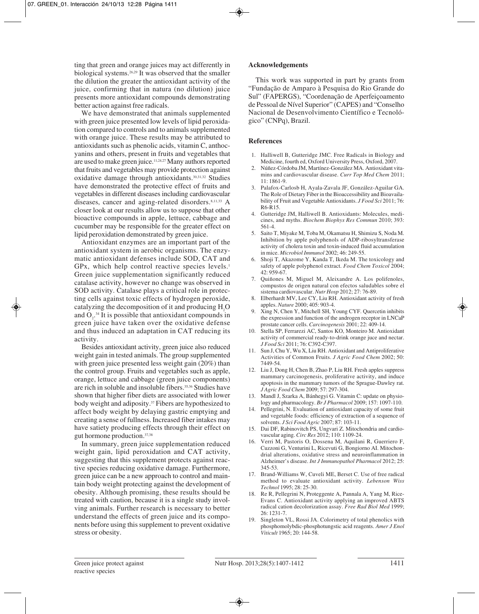ting that green and orange juices may act differently in biological systems.26,29 It was observed that the smaller the dilution the greater the antioxidant activity of the juice, confirming that in natura (no dilution) juice presents more antioxidant compounds demonstrating better action against free radicals.

We have demonstrated that animals supplemented with green juice presented low levels of lipid peroxidation compared to controls and to animals supplemented with orange juice. These results may be attributed to antioxidants such as phenolic acids, vitamin C, anthocyanins and others, present in fruits and vegetables that are used to make green juice.11,24,27 Many authors reported that fruits and vegetables may provide protection against oxidative damage through antioxidants.30,31,32 Studies have demonstrated the protective effect of fruits and vegetables in different diseases including cardiovascular diseases, cancer and aging-related disorders.<sup>8,11,33</sup> A closer look at our results allow us to suppose that other bioactive compounds in apple, lettuce, cabbage and cucumber may be responsible for the greater effect on lipid peroxidation demonstrated by green juice.

Antioxidant enzymes are an important part of the antioxidant system in aerobic organisms. The enzymatic antioxidant defenses include SOD, CAT and  $GPx$ , which help control reactive species levels.<sup>1</sup> Green juice supplementation significantly reduced catalase activity, however no change was observed in SOD activity. Catalase plays a critical role in protecting cells against toxic effects of hydrogen peroxide, catalyzing the decomposition of it and producing  $H_2O$ and  $O_2$ <sup>34</sup>. It is possible that antioxidant compounds in green juice have taken over the oxidative defense and thus induced an adaptation in CAT reducing its activity.

Besides antioxidant activity, green juice also reduced weight gain in tested animals. The group supplemented with green juice presented less weight gain (20%) than the control group. Fruits and vegetables such as apple, orange, lettuce and cabbage (green juice components) are rich in soluble and insoluble fibers.<sup>35,36</sup> Studies have shown that higher fiber diets are associated with lower body weight and adiposity.<sup>37</sup> Fibers are hypothesized to affect body weight by delaying gastric emptying and creating a sense of fullness. Increased fiber intakes may have satiety producing effects through their effect on gut hormone production.37,38

In summary, green juice supplementation reduced weight gain, lipid peroxidation and CAT activity, suggesting that this supplement protects against reactive species reducing oxidative damage. Furthermore, green juice can be a new approach to control and maintain body weight protecting against the development of obesity. Although promising, these results should be treated with caution, because it is a single study involving animals. Further research is necessary to better understand the effects of green juice and its components before using this supplement to prevent oxidative stress or obesity.

#### **Acknowledgements**

This work was supported in part by grants from "Fundação de Amparo à Pesquisa do Rio Grande do Sul" (FAPERGS), "Coordenação de Aperfeiçoamento de Pessoal de Nível Superior" (CAPES) and "Conselho Nacional de Desenvolvimento Científico e Tecnológico" (CNPq), Brazil.

#### **References**

- 1. Halliwell B, Gutteridge JMC. Free Radicals in Biology and Medicine, fourth ed, Oxford University Press, Oxford, 2007.
- 2. Núñez-Córdoba JM, Martínez-González MA. Antioxidant vitamins and cardiovascular disease. *Curr Top Med Chem* 2011; 11: 1861-9.
- 3. Palafox-Carlosb H, Ayala-Zavala JF, González-Aguilar GA. The Role of Dietary Fiber in the Bioaccessibility and Bioavailability of Fruit and Vegetable Antioxidants. *J Food Sci* 2011; 76: R6-R15.
- 4. Gutteridge JM, Halliwell B. Antioxidants: Molecules, medicines, and myths. *Biochem Biophys Res Commun* 2010; 393: 561-4.
- 5. Saito T, Miyake M, Toba M, Okamatsu H, Shimizu S, Noda M. Inhibition by apple polyphenols of ADP-ribosyltransferase activity of cholera toxin and toxin-induced fluid accumulation in mice. *Microbiol Immunol* 2002; 46: 249-55.
- 6. Shoji T, Akazome Y, Kanda T, Ikeda M. The toxicology and safety of apple polyphenol extract. *Food Chem Toxicol* 2004; 42: 959-67.
- 7. Quiñones M, Miguel M, Aleixandre A. Los polifenoles, compustos de origen natural con efectos saludables sobre el sistema cardiovascular. *Nutr Hosp* 2012; 27: 76-89.
- 8. Elberhardt MV, Lee CY, Liu RH. Antioxidant activity of fresh apples. *Nature* 2000; 405: 903-4.
- 9. Xing N, Chen Y, Mitchell SH, Young CYF. Quercetin inhibits the expression and function of the androgen receptor in LNCaP prostate cancer cells. *Carcinogenesis* 2001; 22: 409-14.
- 10. Stella SP, Ferrarezi AC, Santos KO, Monteiro M. Antioxidant activity of commercial ready-to-drink orange juce and nectar. *J Food Sci* 2011; 76: C392-C397.
- 11. Sun J, Chu Y, Wu X, Liu RH. Antioxidant and Antiproliferative Activities of Common Fruits. *J Agric Food Chem* 2002; 50: 7449-54.
- 12. Liu J, Dong H, Chen B, Zhao P, Liu RH. Fresh apples suppress mammary carcinogenesis, proliferative activity, and induce apoptosis in the mammary tumors of the Sprague-Dawley rat. *J Agric Food Chem* 2009; 57: 297-304.
- 13. Mandl J, Szarka A, Bánhegyi G. Vitamin C: update on physiology and pharmacology. *Br J Pharmacol* 2009; 157: 1097-110.
- 14. Pellegrini, N. Evaluation of antioxidant capacity of some fruit and vegetable foods: efficiency of extraction of a sequence of solvents. *J Sci Food Agric* 2007; 87: 103-11.
- 15. Dai DF, Rabinovitch PS, Ungvari Z. Mitochondria and cardiovascular aging. *Circ Res* 2012; 110: 1109-24.
- 16. Verri M, Pastoris O, Dossena M, Aquilani R, Guerriero F, Cuzzoni G, Venturini L, Ricevuti G, Bongiorno AI. Mitochondrial alterations, oxidative stress and neuroinflammation in Alzheimer's disease. *Int J Immunopathol Pharmacol* 2012; 25: 345-53.
- 17. Brand-Williams W, Cuveli ME, Berset C. Use of free radical method to evaluate antioxidant activity. *Lebenson Wiss Technol* 1995; 28: 25-30.
- 18. Re R, Pellegrini N, Proteggente A, Pannala A, Yang M, Rice-Evans C. Antioxidant activity applying an improved ABTS radical cation decolorization assay. *Free Rad Biol Med* 1999; 26: 1231-7.
- 19. Singleton VL, Rossi JA. Colorimetry of total phenolics with phosphomolybdic-phosphotungstic acid reagents. *Amer J Enol Viticult* 1965; 20: 144-58.